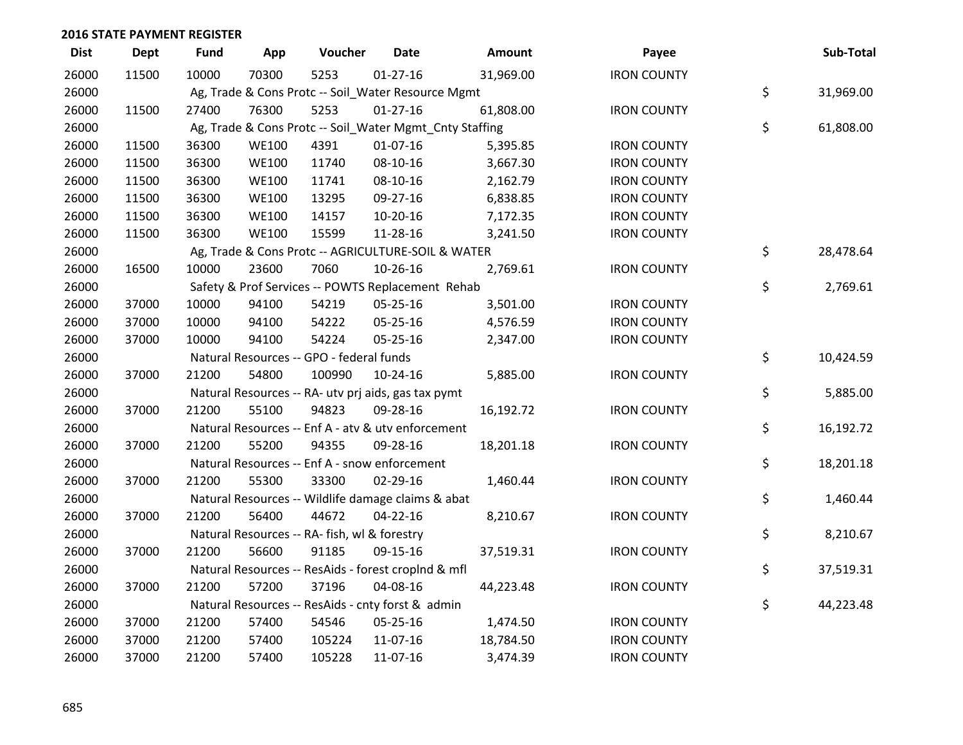| <b>Dist</b> | <b>Dept</b> | <b>Fund</b> | App          | Voucher                                      | <b>Date</b>                                             | Amount    | Payee              | Sub-Total       |
|-------------|-------------|-------------|--------------|----------------------------------------------|---------------------------------------------------------|-----------|--------------------|-----------------|
| 26000       | 11500       | 10000       | 70300        | 5253                                         | $01 - 27 - 16$                                          | 31,969.00 | <b>IRON COUNTY</b> |                 |
| 26000       |             |             |              |                                              | Ag, Trade & Cons Protc -- Soil_Water Resource Mgmt      |           |                    | \$<br>31,969.00 |
| 26000       | 11500       | 27400       | 76300        | 5253                                         | $01 - 27 - 16$                                          | 61,808.00 | <b>IRON COUNTY</b> |                 |
| 26000       |             |             |              |                                              | Ag, Trade & Cons Protc -- Soil_Water Mgmt_Cnty Staffing |           |                    | \$<br>61,808.00 |
| 26000       | 11500       | 36300       | <b>WE100</b> | 4391                                         | $01-07-16$                                              | 5,395.85  | <b>IRON COUNTY</b> |                 |
| 26000       | 11500       | 36300       | <b>WE100</b> | 11740                                        | 08-10-16                                                | 3,667.30  | <b>IRON COUNTY</b> |                 |
| 26000       | 11500       | 36300       | <b>WE100</b> | 11741                                        | 08-10-16                                                | 2,162.79  | <b>IRON COUNTY</b> |                 |
| 26000       | 11500       | 36300       | <b>WE100</b> | 13295                                        | 09-27-16                                                | 6,838.85  | <b>IRON COUNTY</b> |                 |
| 26000       | 11500       | 36300       | <b>WE100</b> | 14157                                        | 10-20-16                                                | 7,172.35  | <b>IRON COUNTY</b> |                 |
| 26000       | 11500       | 36300       | <b>WE100</b> | 15599                                        | 11-28-16                                                | 3,241.50  | <b>IRON COUNTY</b> |                 |
| 26000       |             |             |              |                                              | Ag, Trade & Cons Protc -- AGRICULTURE-SOIL & WATER      |           |                    | \$<br>28,478.64 |
| 26000       | 16500       | 10000       | 23600        | 7060                                         | 10-26-16                                                | 2,769.61  | <b>IRON COUNTY</b> |                 |
| 26000       |             |             |              |                                              | Safety & Prof Services -- POWTS Replacement Rehab       |           |                    | \$<br>2,769.61  |
| 26000       | 37000       | 10000       | 94100        | 54219                                        | 05-25-16                                                | 3,501.00  | <b>IRON COUNTY</b> |                 |
| 26000       | 37000       | 10000       | 94100        | 54222                                        | 05-25-16                                                | 4,576.59  | <b>IRON COUNTY</b> |                 |
| 26000       | 37000       | 10000       | 94100        | 54224                                        | 05-25-16                                                | 2,347.00  | <b>IRON COUNTY</b> |                 |
| 26000       |             |             |              | Natural Resources -- GPO - federal funds     |                                                         |           |                    | \$<br>10,424.59 |
| 26000       | 37000       | 21200       | 54800        | 100990                                       | $10 - 24 - 16$                                          | 5,885.00  | <b>IRON COUNTY</b> |                 |
| 26000       |             |             |              |                                              | Natural Resources -- RA- utv prj aids, gas tax pymt     |           |                    | \$<br>5,885.00  |
| 26000       | 37000       | 21200       | 55100        | 94823                                        | 09-28-16                                                | 16,192.72 | <b>IRON COUNTY</b> |                 |
| 26000       |             |             |              |                                              | Natural Resources -- Enf A - atv & utv enforcement      |           |                    | \$<br>16,192.72 |
| 26000       | 37000       | 21200       | 55200        | 94355                                        | 09-28-16                                                | 18,201.18 | <b>IRON COUNTY</b> |                 |
| 26000       |             |             |              |                                              | Natural Resources -- Enf A - snow enforcement           |           |                    | \$<br>18,201.18 |
| 26000       | 37000       | 21200       | 55300        | 33300                                        | $02 - 29 - 16$                                          | 1,460.44  | <b>IRON COUNTY</b> |                 |
| 26000       |             |             |              |                                              | Natural Resources -- Wildlife damage claims & abat      |           |                    | \$<br>1,460.44  |
| 26000       | 37000       | 21200       | 56400        | 44672                                        | $04 - 22 - 16$                                          | 8,210.67  | <b>IRON COUNTY</b> |                 |
| 26000       |             |             |              | Natural Resources -- RA- fish, wl & forestry |                                                         |           |                    | \$<br>8,210.67  |
| 26000       | 37000       | 21200       | 56600        | 91185                                        | 09-15-16                                                | 37,519.31 | <b>IRON COUNTY</b> |                 |
| 26000       |             |             |              |                                              | Natural Resources -- ResAids - forest croplnd & mfl     |           |                    | \$<br>37,519.31 |
| 26000       | 37000       | 21200       | 57200        | 37196                                        | 04-08-16                                                | 44,223.48 | <b>IRON COUNTY</b> |                 |
| 26000       |             |             |              |                                              | Natural Resources -- ResAids - cnty forst & admin       |           |                    | \$<br>44,223.48 |
| 26000       | 37000       | 21200       | 57400        | 54546                                        | 05-25-16                                                | 1,474.50  | <b>IRON COUNTY</b> |                 |
| 26000       | 37000       | 21200       | 57400        | 105224                                       | 11-07-16                                                | 18,784.50 | <b>IRON COUNTY</b> |                 |
| 26000       | 37000       | 21200       | 57400        | 105228                                       | 11-07-16                                                | 3,474.39  | <b>IRON COUNTY</b> |                 |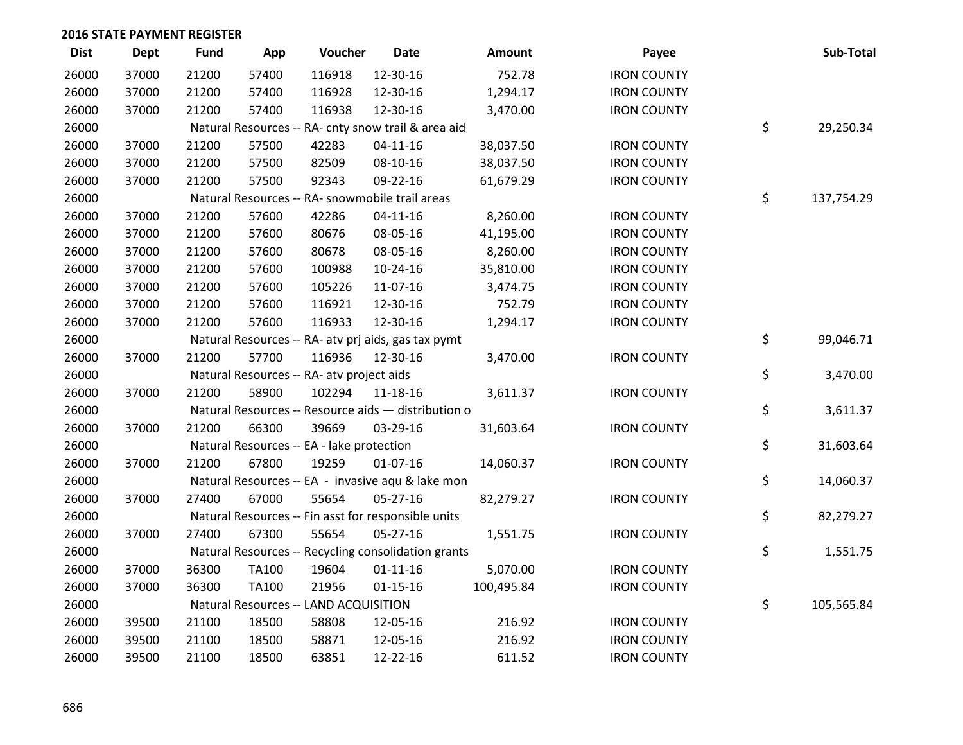| <b>Dist</b> | <b>Dept</b> | <b>Fund</b> | App          | Voucher                                             | <b>Date</b>    | Amount     | Payee              | Sub-Total        |
|-------------|-------------|-------------|--------------|-----------------------------------------------------|----------------|------------|--------------------|------------------|
| 26000       | 37000       | 21200       | 57400        | 116918                                              | 12-30-16       | 752.78     | <b>IRON COUNTY</b> |                  |
| 26000       | 37000       | 21200       | 57400        | 116928                                              | 12-30-16       | 1,294.17   | <b>IRON COUNTY</b> |                  |
| 26000       | 37000       | 21200       | 57400        | 116938                                              | 12-30-16       | 3,470.00   | <b>IRON COUNTY</b> |                  |
| 26000       |             |             |              | Natural Resources -- RA- cnty snow trail & area aid |                |            |                    | \$<br>29,250.34  |
| 26000       | 37000       | 21200       | 57500        | 42283                                               | $04 - 11 - 16$ | 38,037.50  | <b>IRON COUNTY</b> |                  |
| 26000       | 37000       | 21200       | 57500        | 82509                                               | 08-10-16       | 38,037.50  | <b>IRON COUNTY</b> |                  |
| 26000       | 37000       | 21200       | 57500        | 92343                                               | 09-22-16       | 61,679.29  | <b>IRON COUNTY</b> |                  |
| 26000       |             |             |              | Natural Resources -- RA- snowmobile trail areas     |                |            |                    | \$<br>137,754.29 |
| 26000       | 37000       | 21200       | 57600        | 42286                                               | $04 - 11 - 16$ | 8,260.00   | <b>IRON COUNTY</b> |                  |
| 26000       | 37000       | 21200       | 57600        | 80676                                               | 08-05-16       | 41,195.00  | <b>IRON COUNTY</b> |                  |
| 26000       | 37000       | 21200       | 57600        | 80678                                               | 08-05-16       | 8,260.00   | <b>IRON COUNTY</b> |                  |
| 26000       | 37000       | 21200       | 57600        | 100988                                              | $10-24-16$     | 35,810.00  | <b>IRON COUNTY</b> |                  |
| 26000       | 37000       | 21200       | 57600        | 105226                                              | 11-07-16       | 3,474.75   | <b>IRON COUNTY</b> |                  |
| 26000       | 37000       | 21200       | 57600        | 116921                                              | 12-30-16       | 752.79     | <b>IRON COUNTY</b> |                  |
| 26000       | 37000       | 21200       | 57600        | 116933                                              | 12-30-16       | 1,294.17   | <b>IRON COUNTY</b> |                  |
| 26000       |             |             |              | Natural Resources -- RA- atv prj aids, gas tax pymt |                |            |                    | \$<br>99,046.71  |
| 26000       | 37000       | 21200       | 57700        | 116936                                              | 12-30-16       | 3,470.00   | <b>IRON COUNTY</b> |                  |
| 26000       |             |             |              | Natural Resources -- RA- atv project aids           |                |            |                    | \$<br>3,470.00   |
| 26000       | 37000       | 21200       | 58900        | 102294                                              | 11-18-16       | 3,611.37   | <b>IRON COUNTY</b> |                  |
| 26000       |             |             |              | Natural Resources -- Resource aids - distribution o |                |            |                    | \$<br>3,611.37   |
| 26000       | 37000       | 21200       | 66300        | 39669                                               | 03-29-16       | 31,603.64  | <b>IRON COUNTY</b> |                  |
| 26000       |             |             |              | Natural Resources -- EA - lake protection           |                |            |                    | \$<br>31,603.64  |
| 26000       | 37000       | 21200       | 67800        | 19259                                               | $01-07-16$     | 14,060.37  | <b>IRON COUNTY</b> |                  |
| 26000       |             |             |              | Natural Resources -- EA - invasive aqu & lake mon   |                |            |                    | \$<br>14,060.37  |
| 26000       | 37000       | 27400       | 67000        | 55654                                               | $05 - 27 - 16$ | 82,279.27  | <b>IRON COUNTY</b> |                  |
| 26000       |             |             |              | Natural Resources -- Fin asst for responsible units |                |            |                    | \$<br>82,279.27  |
| 26000       | 37000       | 27400       | 67300        | 55654                                               | 05-27-16       | 1,551.75   | <b>IRON COUNTY</b> |                  |
| 26000       |             |             |              | Natural Resources -- Recycling consolidation grants |                |            |                    | \$<br>1,551.75   |
| 26000       | 37000       | 36300       | TA100        | 19604                                               | $01 - 11 - 16$ | 5,070.00   | <b>IRON COUNTY</b> |                  |
| 26000       | 37000       | 36300       | <b>TA100</b> | 21956                                               | $01 - 15 - 16$ | 100,495.84 | <b>IRON COUNTY</b> |                  |
| 26000       |             |             |              | Natural Resources -- LAND ACQUISITION               |                |            |                    | \$<br>105,565.84 |
| 26000       | 39500       | 21100       | 18500        | 58808                                               | 12-05-16       | 216.92     | <b>IRON COUNTY</b> |                  |
| 26000       | 39500       | 21100       | 18500        | 58871                                               | 12-05-16       | 216.92     | <b>IRON COUNTY</b> |                  |
| 26000       | 39500       | 21100       | 18500        | 63851                                               | 12-22-16       | 611.52     | <b>IRON COUNTY</b> |                  |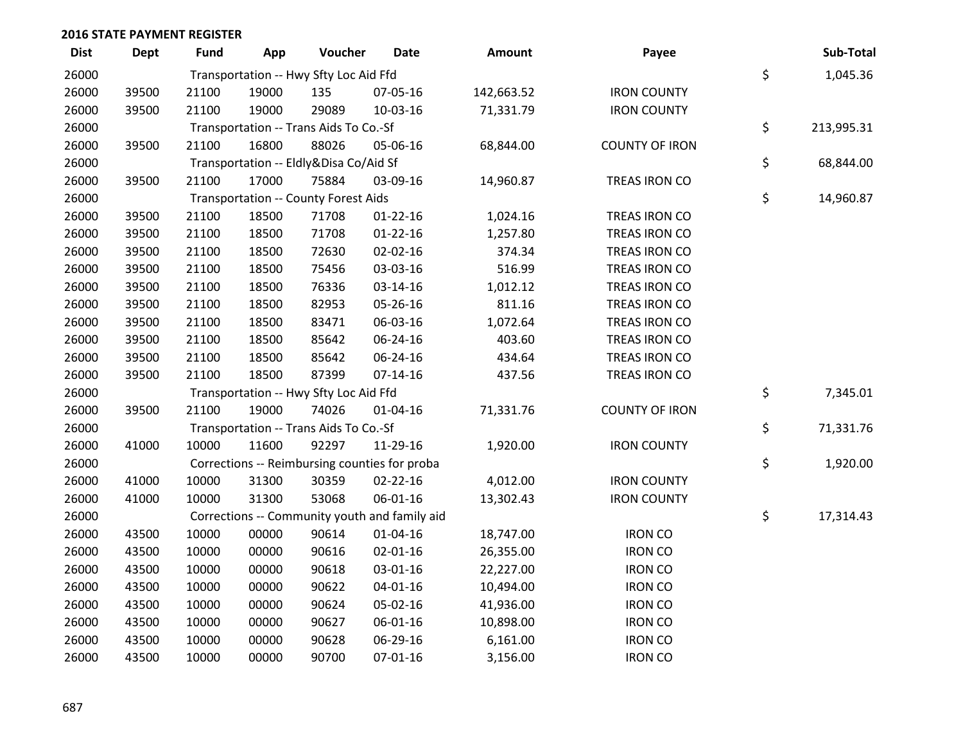| <b>Dist</b> | <b>Dept</b> | <b>Fund</b> | App   | Voucher                                | <b>Date</b>                                   | <b>Amount</b> | Payee                 | Sub-Total        |
|-------------|-------------|-------------|-------|----------------------------------------|-----------------------------------------------|---------------|-----------------------|------------------|
| 26000       |             |             |       | Transportation -- Hwy Sfty Loc Aid Ffd |                                               |               |                       | \$<br>1,045.36   |
| 26000       | 39500       | 21100       | 19000 | 135                                    | 07-05-16                                      | 142,663.52    | <b>IRON COUNTY</b>    |                  |
| 26000       | 39500       | 21100       | 19000 | 29089                                  | 10-03-16                                      | 71,331.79     | <b>IRON COUNTY</b>    |                  |
| 26000       |             |             |       | Transportation -- Trans Aids To Co.-Sf |                                               |               |                       | \$<br>213,995.31 |
| 26000       | 39500       | 21100       | 16800 | 88026                                  | 05-06-16                                      | 68,844.00     | <b>COUNTY OF IRON</b> |                  |
| 26000       |             |             |       | Transportation -- Eldly&Disa Co/Aid Sf |                                               |               |                       | \$<br>68,844.00  |
| 26000       | 39500       | 21100       | 17000 | 75884                                  | 03-09-16                                      | 14,960.87     | TREAS IRON CO         |                  |
| 26000       |             |             |       | Transportation -- County Forest Aids   |                                               |               |                       | \$<br>14,960.87  |
| 26000       | 39500       | 21100       | 18500 | 71708                                  | $01 - 22 - 16$                                | 1,024.16      | TREAS IRON CO         |                  |
| 26000       | 39500       | 21100       | 18500 | 71708                                  | $01-22-16$                                    | 1,257.80      | TREAS IRON CO         |                  |
| 26000       | 39500       | 21100       | 18500 | 72630                                  | 02-02-16                                      | 374.34        | TREAS IRON CO         |                  |
| 26000       | 39500       | 21100       | 18500 | 75456                                  | 03-03-16                                      | 516.99        | TREAS IRON CO         |                  |
| 26000       | 39500       | 21100       | 18500 | 76336                                  | 03-14-16                                      | 1,012.12      | TREAS IRON CO         |                  |
| 26000       | 39500       | 21100       | 18500 | 82953                                  | 05-26-16                                      | 811.16        | TREAS IRON CO         |                  |
| 26000       | 39500       | 21100       | 18500 | 83471                                  | 06-03-16                                      | 1,072.64      | TREAS IRON CO         |                  |
| 26000       | 39500       | 21100       | 18500 | 85642                                  | 06-24-16                                      | 403.60        | TREAS IRON CO         |                  |
| 26000       | 39500       | 21100       | 18500 | 85642                                  | 06-24-16                                      | 434.64        | TREAS IRON CO         |                  |
| 26000       | 39500       | 21100       | 18500 | 87399                                  | $07-14-16$                                    | 437.56        | TREAS IRON CO         |                  |
| 26000       |             |             |       | Transportation -- Hwy Sfty Loc Aid Ffd |                                               |               |                       | \$<br>7,345.01   |
| 26000       | 39500       | 21100       | 19000 | 74026                                  | 01-04-16                                      | 71,331.76     | <b>COUNTY OF IRON</b> |                  |
| 26000       |             |             |       | Transportation -- Trans Aids To Co.-Sf |                                               |               |                       | \$<br>71,331.76  |
| 26000       | 41000       | 10000       | 11600 | 92297                                  | 11-29-16                                      | 1,920.00      | <b>IRON COUNTY</b>    |                  |
| 26000       |             |             |       |                                        | Corrections -- Reimbursing counties for proba |               |                       | \$<br>1,920.00   |
| 26000       | 41000       | 10000       | 31300 | 30359                                  | 02-22-16                                      | 4,012.00      | <b>IRON COUNTY</b>    |                  |
| 26000       | 41000       | 10000       | 31300 | 53068                                  | 06-01-16                                      | 13,302.43     | <b>IRON COUNTY</b>    |                  |
| 26000       |             |             |       |                                        | Corrections -- Community youth and family aid |               |                       | \$<br>17,314.43  |
| 26000       | 43500       | 10000       | 00000 | 90614                                  | 01-04-16                                      | 18,747.00     | <b>IRON CO</b>        |                  |
| 26000       | 43500       | 10000       | 00000 | 90616                                  | 02-01-16                                      | 26,355.00     | <b>IRON CO</b>        |                  |
| 26000       | 43500       | 10000       | 00000 | 90618                                  | 03-01-16                                      | 22,227.00     | <b>IRON CO</b>        |                  |
| 26000       | 43500       | 10000       | 00000 | 90622                                  | $04 - 01 - 16$                                | 10,494.00     | <b>IRON CO</b>        |                  |
| 26000       | 43500       | 10000       | 00000 | 90624                                  | 05-02-16                                      | 41,936.00     | <b>IRON CO</b>        |                  |
| 26000       | 43500       | 10000       | 00000 | 90627                                  | 06-01-16                                      | 10,898.00     | <b>IRON CO</b>        |                  |
| 26000       | 43500       | 10000       | 00000 | 90628                                  | 06-29-16                                      | 6,161.00      | <b>IRON CO</b>        |                  |
| 26000       | 43500       | 10000       | 00000 | 90700                                  | 07-01-16                                      | 3,156.00      | <b>IRON CO</b>        |                  |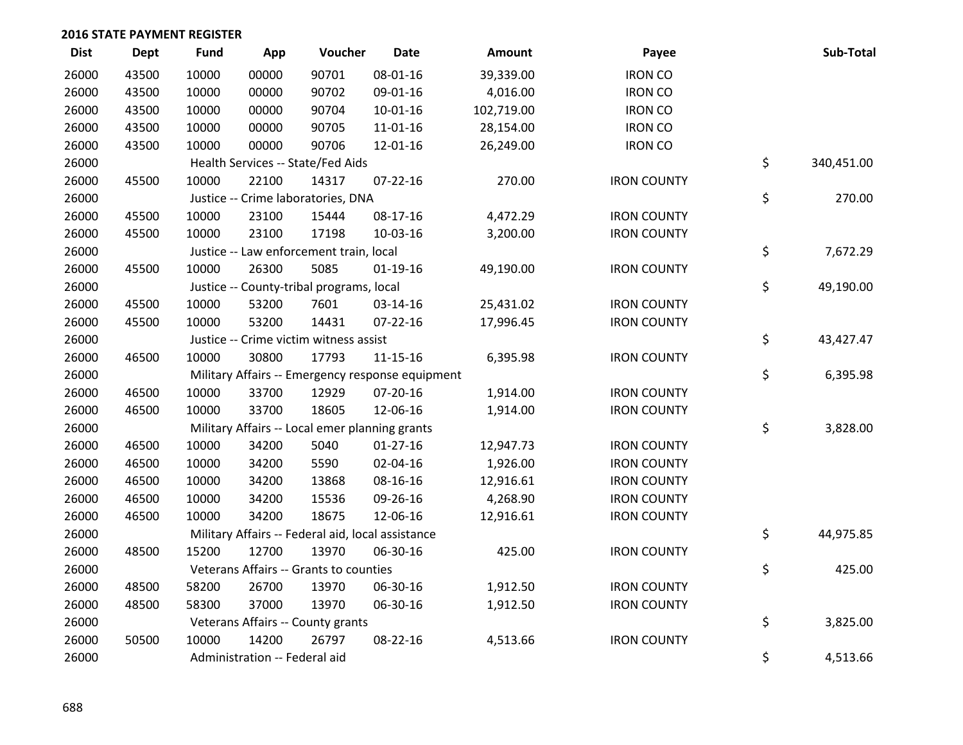| <b>Dist</b> | <b>Dept</b> | <b>Fund</b> | App                           | Voucher                                           | <b>Date</b>    | <b>Amount</b> | Payee              | Sub-Total        |
|-------------|-------------|-------------|-------------------------------|---------------------------------------------------|----------------|---------------|--------------------|------------------|
| 26000       | 43500       | 10000       | 00000                         | 90701                                             | 08-01-16       | 39,339.00     | <b>IRON CO</b>     |                  |
| 26000       | 43500       | 10000       | 00000                         | 90702                                             | 09-01-16       | 4,016.00      | <b>IRON CO</b>     |                  |
| 26000       | 43500       | 10000       | 00000                         | 90704                                             | $10 - 01 - 16$ | 102,719.00    | <b>IRON CO</b>     |                  |
| 26000       | 43500       | 10000       | 00000                         | 90705                                             | $11 - 01 - 16$ | 28,154.00     | <b>IRON CO</b>     |                  |
| 26000       | 43500       | 10000       | 00000                         | 90706                                             | 12-01-16       | 26,249.00     | <b>IRON CO</b>     |                  |
| 26000       |             |             |                               | Health Services -- State/Fed Aids                 |                |               |                    | \$<br>340,451.00 |
| 26000       | 45500       | 10000       | 22100                         | 14317                                             | $07 - 22 - 16$ | 270.00        | <b>IRON COUNTY</b> |                  |
| 26000       |             |             |                               | Justice -- Crime laboratories, DNA                |                |               |                    | \$<br>270.00     |
| 26000       | 45500       | 10000       | 23100                         | 15444                                             | 08-17-16       | 4,472.29      | <b>IRON COUNTY</b> |                  |
| 26000       | 45500       | 10000       | 23100                         | 17198                                             | 10-03-16       | 3,200.00      | <b>IRON COUNTY</b> |                  |
| 26000       |             |             |                               | Justice -- Law enforcement train, local           |                |               |                    | \$<br>7,672.29   |
| 26000       | 45500       | 10000       | 26300                         | 5085                                              | $01-19-16$     | 49,190.00     | <b>IRON COUNTY</b> |                  |
| 26000       |             |             |                               | Justice -- County-tribal programs, local          |                |               |                    | \$<br>49,190.00  |
| 26000       | 45500       | 10000       | 53200                         | 7601                                              | 03-14-16       | 25,431.02     | <b>IRON COUNTY</b> |                  |
| 26000       | 45500       | 10000       | 53200                         | 14431                                             | $07 - 22 - 16$ | 17,996.45     | <b>IRON COUNTY</b> |                  |
| 26000       |             |             |                               | Justice -- Crime victim witness assist            |                |               |                    | \$<br>43,427.47  |
| 26000       | 46500       | 10000       | 30800                         | 17793                                             | $11 - 15 - 16$ | 6,395.98      | <b>IRON COUNTY</b> |                  |
| 26000       |             |             |                               | Military Affairs -- Emergency response equipment  |                |               |                    | \$<br>6,395.98   |
| 26000       | 46500       | 10000       | 33700                         | 12929                                             | 07-20-16       | 1,914.00      | <b>IRON COUNTY</b> |                  |
| 26000       | 46500       | 10000       | 33700                         | 18605                                             | 12-06-16       | 1,914.00      | <b>IRON COUNTY</b> |                  |
| 26000       |             |             |                               | Military Affairs -- Local emer planning grants    |                |               |                    | \$<br>3,828.00   |
| 26000       | 46500       | 10000       | 34200                         | 5040                                              | $01-27-16$     | 12,947.73     | <b>IRON COUNTY</b> |                  |
| 26000       | 46500       | 10000       | 34200                         | 5590                                              | 02-04-16       | 1,926.00      | <b>IRON COUNTY</b> |                  |
| 26000       | 46500       | 10000       | 34200                         | 13868                                             | 08-16-16       | 12,916.61     | <b>IRON COUNTY</b> |                  |
| 26000       | 46500       | 10000       | 34200                         | 15536                                             | 09-26-16       | 4,268.90      | <b>IRON COUNTY</b> |                  |
| 26000       | 46500       | 10000       | 34200                         | 18675                                             | 12-06-16       | 12,916.61     | <b>IRON COUNTY</b> |                  |
| 26000       |             |             |                               | Military Affairs -- Federal aid, local assistance |                |               |                    | \$<br>44,975.85  |
| 26000       | 48500       | 15200       | 12700                         | 13970                                             | 06-30-16       | 425.00        | <b>IRON COUNTY</b> |                  |
| 26000       |             |             |                               | Veterans Affairs -- Grants to counties            |                |               |                    | \$<br>425.00     |
| 26000       | 48500       | 58200       | 26700                         | 13970                                             | 06-30-16       | 1,912.50      | <b>IRON COUNTY</b> |                  |
| 26000       | 48500       | 58300       | 37000                         | 13970                                             | 06-30-16       | 1,912.50      | <b>IRON COUNTY</b> |                  |
| 26000       |             |             |                               | Veterans Affairs -- County grants                 |                |               |                    | \$<br>3,825.00   |
| 26000       | 50500       | 10000       | 14200                         | 26797                                             | 08-22-16       | 4,513.66      | <b>IRON COUNTY</b> |                  |
| 26000       |             |             | Administration -- Federal aid |                                                   |                |               |                    | \$<br>4,513.66   |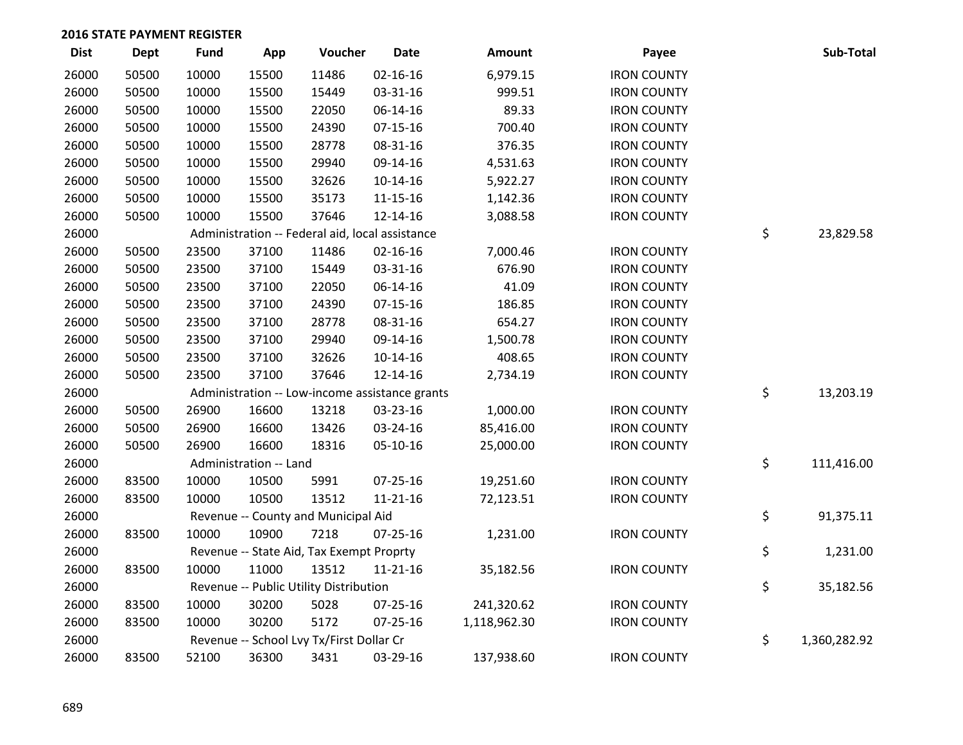| <b>Dist</b> | <b>Dept</b> | <b>Fund</b> | App                    | Voucher                                         | <b>Date</b>    | Amount       | Payee              | Sub-Total          |
|-------------|-------------|-------------|------------------------|-------------------------------------------------|----------------|--------------|--------------------|--------------------|
| 26000       | 50500       | 10000       | 15500                  | 11486                                           | 02-16-16       | 6,979.15     | <b>IRON COUNTY</b> |                    |
| 26000       | 50500       | 10000       | 15500                  | 15449                                           | 03-31-16       | 999.51       | <b>IRON COUNTY</b> |                    |
| 26000       | 50500       | 10000       | 15500                  | 22050                                           | 06-14-16       | 89.33        | <b>IRON COUNTY</b> |                    |
| 26000       | 50500       | 10000       | 15500                  | 24390                                           | $07 - 15 - 16$ | 700.40       | <b>IRON COUNTY</b> |                    |
| 26000       | 50500       | 10000       | 15500                  | 28778                                           | 08-31-16       | 376.35       | <b>IRON COUNTY</b> |                    |
| 26000       | 50500       | 10000       | 15500                  | 29940                                           | 09-14-16       | 4,531.63     | <b>IRON COUNTY</b> |                    |
| 26000       | 50500       | 10000       | 15500                  | 32626                                           | $10-14-16$     | 5,922.27     | <b>IRON COUNTY</b> |                    |
| 26000       | 50500       | 10000       | 15500                  | 35173                                           | $11 - 15 - 16$ | 1,142.36     | <b>IRON COUNTY</b> |                    |
| 26000       | 50500       | 10000       | 15500                  | 37646                                           | 12-14-16       | 3,088.58     | <b>IRON COUNTY</b> |                    |
| 26000       |             |             |                        | Administration -- Federal aid, local assistance |                |              |                    | \$<br>23,829.58    |
| 26000       | 50500       | 23500       | 37100                  | 11486                                           | $02 - 16 - 16$ | 7,000.46     | <b>IRON COUNTY</b> |                    |
| 26000       | 50500       | 23500       | 37100                  | 15449                                           | 03-31-16       | 676.90       | <b>IRON COUNTY</b> |                    |
| 26000       | 50500       | 23500       | 37100                  | 22050                                           | 06-14-16       | 41.09        | <b>IRON COUNTY</b> |                    |
| 26000       | 50500       | 23500       | 37100                  | 24390                                           | $07-15-16$     | 186.85       | <b>IRON COUNTY</b> |                    |
| 26000       | 50500       | 23500       | 37100                  | 28778                                           | 08-31-16       | 654.27       | <b>IRON COUNTY</b> |                    |
| 26000       | 50500       | 23500       | 37100                  | 29940                                           | 09-14-16       | 1,500.78     | <b>IRON COUNTY</b> |                    |
| 26000       | 50500       | 23500       | 37100                  | 32626                                           | 10-14-16       | 408.65       | <b>IRON COUNTY</b> |                    |
| 26000       | 50500       | 23500       | 37100                  | 37646                                           | 12-14-16       | 2,734.19     | <b>IRON COUNTY</b> |                    |
| 26000       |             |             |                        | Administration -- Low-income assistance grants  |                |              |                    | \$<br>13,203.19    |
| 26000       | 50500       | 26900       | 16600                  | 13218                                           | 03-23-16       | 1,000.00     | <b>IRON COUNTY</b> |                    |
| 26000       | 50500       | 26900       | 16600                  | 13426                                           | 03-24-16       | 85,416.00    | <b>IRON COUNTY</b> |                    |
| 26000       | 50500       | 26900       | 16600                  | 18316                                           | 05-10-16       | 25,000.00    | <b>IRON COUNTY</b> |                    |
| 26000       |             |             | Administration -- Land |                                                 |                |              |                    | \$<br>111,416.00   |
| 26000       | 83500       | 10000       | 10500                  | 5991                                            | 07-25-16       | 19,251.60    | <b>IRON COUNTY</b> |                    |
| 26000       | 83500       | 10000       | 10500                  | 13512                                           | $11 - 21 - 16$ | 72,123.51    | <b>IRON COUNTY</b> |                    |
| 26000       |             |             |                        | Revenue -- County and Municipal Aid             |                |              |                    | \$<br>91,375.11    |
| 26000       | 83500       | 10000       | 10900                  | 7218                                            | 07-25-16       | 1,231.00     | <b>IRON COUNTY</b> |                    |
| 26000       |             |             |                        | Revenue -- State Aid, Tax Exempt Proprty        |                |              |                    | \$<br>1,231.00     |
| 26000       | 83500       | 10000       | 11000                  | 13512                                           | $11 - 21 - 16$ | 35,182.56    | <b>IRON COUNTY</b> |                    |
| 26000       |             |             |                        | Revenue -- Public Utility Distribution          |                |              |                    | \$<br>35,182.56    |
| 26000       | 83500       | 10000       | 30200                  | 5028                                            | 07-25-16       | 241,320.62   | <b>IRON COUNTY</b> |                    |
| 26000       | 83500       | 10000       | 30200                  | 5172                                            | 07-25-16       | 1,118,962.30 | <b>IRON COUNTY</b> |                    |
| 26000       |             |             |                        | Revenue -- School Lvy Tx/First Dollar Cr        |                |              |                    | \$<br>1,360,282.92 |
| 26000       | 83500       | 52100       | 36300                  | 3431                                            | 03-29-16       | 137,938.60   | <b>IRON COUNTY</b> |                    |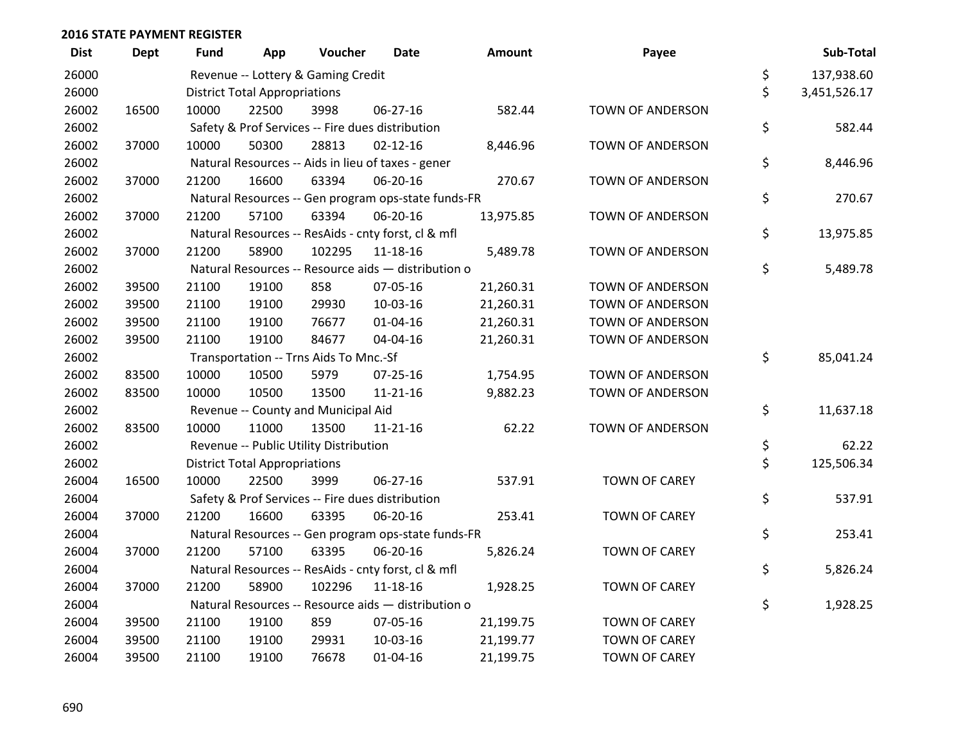| <b>Dist</b> | <b>Dept</b> | Fund  | App                                  | Voucher                                             | <b>Date</b>    | <b>Amount</b> | Payee                   | Sub-Total          |
|-------------|-------------|-------|--------------------------------------|-----------------------------------------------------|----------------|---------------|-------------------------|--------------------|
| 26000       |             |       |                                      | Revenue -- Lottery & Gaming Credit                  |                |               |                         | \$<br>137,938.60   |
| 26000       |             |       | <b>District Total Appropriations</b> |                                                     |                |               |                         | \$<br>3,451,526.17 |
| 26002       | 16500       | 10000 | 22500                                | 3998                                                | 06-27-16       | 582.44        | <b>TOWN OF ANDERSON</b> |                    |
| 26002       |             |       |                                      | Safety & Prof Services -- Fire dues distribution    |                |               |                         | \$<br>582.44       |
| 26002       | 37000       | 10000 | 50300                                | 28813                                               | $02 - 12 - 16$ | 8,446.96      | <b>TOWN OF ANDERSON</b> |                    |
| 26002       |             |       |                                      | Natural Resources -- Aids in lieu of taxes - gener  |                |               |                         | \$<br>8,446.96     |
| 26002       | 37000       | 21200 | 16600                                | 63394                                               | 06-20-16       | 270.67        | TOWN OF ANDERSON        |                    |
| 26002       |             |       |                                      | Natural Resources -- Gen program ops-state funds-FR |                |               |                         | \$<br>270.67       |
| 26002       | 37000       | 21200 | 57100                                | 63394                                               | 06-20-16       | 13,975.85     | <b>TOWN OF ANDERSON</b> |                    |
| 26002       |             |       |                                      | Natural Resources -- ResAids - cnty forst, cl & mfl |                |               |                         | \$<br>13,975.85    |
| 26002       | 37000       | 21200 | 58900                                | 102295                                              | 11-18-16       | 5,489.78      | TOWN OF ANDERSON        |                    |
| 26002       |             |       |                                      | Natural Resources -- Resource aids - distribution o |                |               |                         | \$<br>5,489.78     |
| 26002       | 39500       | 21100 | 19100                                | 858                                                 | 07-05-16       | 21,260.31     | TOWN OF ANDERSON        |                    |
| 26002       | 39500       | 21100 | 19100                                | 29930                                               | 10-03-16       | 21,260.31     | <b>TOWN OF ANDERSON</b> |                    |
| 26002       | 39500       | 21100 | 19100                                | 76677                                               | $01 - 04 - 16$ | 21,260.31     | TOWN OF ANDERSON        |                    |
| 26002       | 39500       | 21100 | 19100                                | 84677                                               | 04-04-16       | 21,260.31     | TOWN OF ANDERSON        |                    |
| 26002       |             |       |                                      | Transportation -- Trns Aids To Mnc.-Sf              |                |               |                         | \$<br>85,041.24    |
| 26002       | 83500       | 10000 | 10500                                | 5979                                                | $07 - 25 - 16$ | 1,754.95      | TOWN OF ANDERSON        |                    |
| 26002       | 83500       | 10000 | 10500                                | 13500                                               | $11 - 21 - 16$ | 9,882.23      | <b>TOWN OF ANDERSON</b> |                    |
| 26002       |             |       |                                      | Revenue -- County and Municipal Aid                 |                |               |                         | \$<br>11,637.18    |
| 26002       | 83500       | 10000 | 11000                                | 13500                                               | $11 - 21 - 16$ | 62.22         | TOWN OF ANDERSON        |                    |
| 26002       |             |       |                                      | Revenue -- Public Utility Distribution              |                |               |                         | \$<br>62.22        |
| 26002       |             |       | <b>District Total Appropriations</b> |                                                     |                |               |                         | \$<br>125,506.34   |
| 26004       | 16500       | 10000 | 22500                                | 3999                                                | 06-27-16       | 537.91        | <b>TOWN OF CAREY</b>    |                    |
| 26004       |             |       |                                      | Safety & Prof Services -- Fire dues distribution    |                |               |                         | \$<br>537.91       |
| 26004       | 37000       | 21200 | 16600                                | 63395                                               | 06-20-16       | 253.41        | <b>TOWN OF CAREY</b>    |                    |
| 26004       |             |       |                                      | Natural Resources -- Gen program ops-state funds-FR |                |               |                         | \$<br>253.41       |
| 26004       | 37000       | 21200 | 57100                                | 63395                                               | 06-20-16       | 5,826.24      | <b>TOWN OF CAREY</b>    |                    |
| 26004       |             |       |                                      | Natural Resources -- ResAids - cnty forst, cl & mfl |                |               |                         | \$<br>5,826.24     |
| 26004       | 37000       | 21200 | 58900                                | 102296                                              | $11 - 18 - 16$ | 1,928.25      | <b>TOWN OF CAREY</b>    |                    |
| 26004       |             |       |                                      | Natural Resources -- Resource aids - distribution o |                |               |                         | \$<br>1,928.25     |
| 26004       | 39500       | 21100 | 19100                                | 859                                                 | 07-05-16       | 21,199.75     | <b>TOWN OF CAREY</b>    |                    |
| 26004       | 39500       | 21100 | 19100                                | 29931                                               | 10-03-16       | 21,199.77     | <b>TOWN OF CAREY</b>    |                    |
| 26004       | 39500       | 21100 | 19100                                | 76678                                               | $01 - 04 - 16$ | 21,199.75     | <b>TOWN OF CAREY</b>    |                    |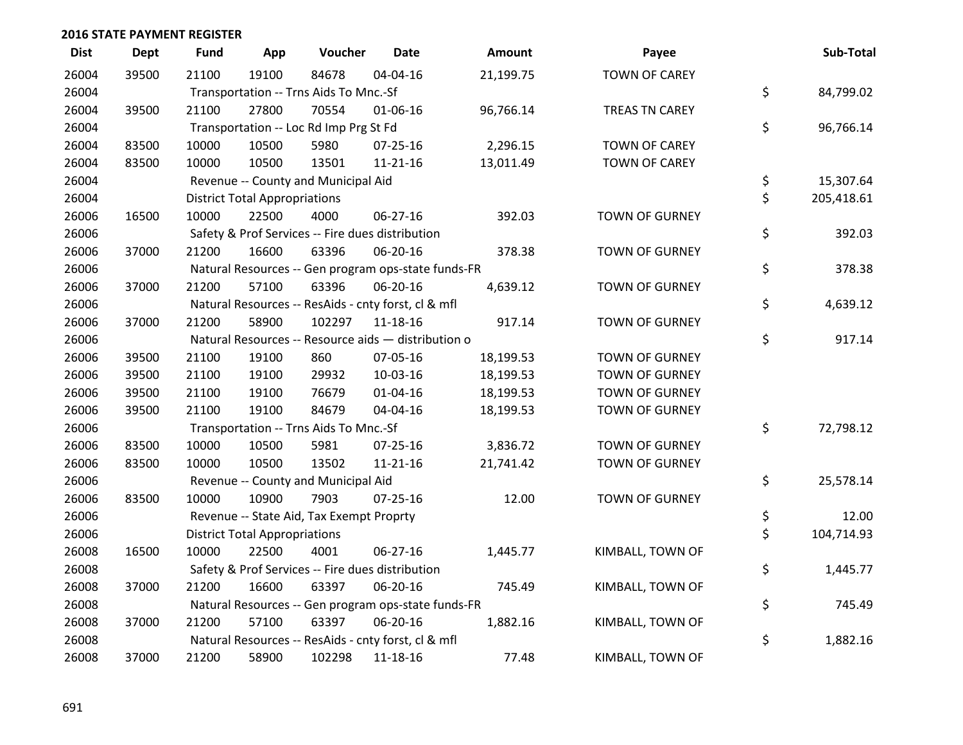| <b>Dist</b> | <b>Dept</b> | <b>Fund</b> | App                                  | Voucher                                  | <b>Date</b>                                         | <b>Amount</b> | Payee                 | Sub-Total        |
|-------------|-------------|-------------|--------------------------------------|------------------------------------------|-----------------------------------------------------|---------------|-----------------------|------------------|
| 26004       | 39500       | 21100       | 19100                                | 84678                                    | 04-04-16                                            | 21,199.75     | <b>TOWN OF CAREY</b>  |                  |
| 26004       |             |             |                                      | Transportation -- Trns Aids To Mnc.-Sf   |                                                     |               |                       | \$<br>84,799.02  |
| 26004       | 39500       | 21100       | 27800                                | 70554                                    | 01-06-16                                            | 96,766.14     | TREAS TN CAREY        |                  |
| 26004       |             |             |                                      | Transportation -- Loc Rd Imp Prg St Fd   |                                                     |               |                       | \$<br>96,766.14  |
| 26004       | 83500       | 10000       | 10500                                | 5980                                     | 07-25-16                                            | 2,296.15      | <b>TOWN OF CAREY</b>  |                  |
| 26004       | 83500       | 10000       | 10500                                | 13501                                    | $11 - 21 - 16$                                      | 13,011.49     | <b>TOWN OF CAREY</b>  |                  |
| 26004       |             |             |                                      | Revenue -- County and Municipal Aid      |                                                     |               |                       | \$<br>15,307.64  |
| 26004       |             |             | <b>District Total Appropriations</b> |                                          |                                                     |               |                       | \$<br>205,418.61 |
| 26006       | 16500       | 10000       | 22500                                | 4000                                     | 06-27-16                                            | 392.03        | <b>TOWN OF GURNEY</b> |                  |
| 26006       |             |             |                                      |                                          | Safety & Prof Services -- Fire dues distribution    |               |                       | \$<br>392.03     |
| 26006       | 37000       | 21200       | 16600                                | 63396                                    | 06-20-16                                            | 378.38        | <b>TOWN OF GURNEY</b> |                  |
| 26006       |             |             |                                      |                                          | Natural Resources -- Gen program ops-state funds-FR |               |                       | \$<br>378.38     |
| 26006       | 37000       | 21200       | 57100                                | 63396                                    | 06-20-16                                            | 4,639.12      | <b>TOWN OF GURNEY</b> |                  |
| 26006       |             |             |                                      |                                          | Natural Resources -- ResAids - cnty forst, cl & mfl |               |                       | \$<br>4,639.12   |
| 26006       | 37000       | 21200       | 58900                                | 102297                                   | 11-18-16                                            | 917.14        | <b>TOWN OF GURNEY</b> |                  |
| 26006       |             |             |                                      |                                          | Natural Resources -- Resource aids - distribution o |               |                       | \$<br>917.14     |
| 26006       | 39500       | 21100       | 19100                                | 860                                      | 07-05-16                                            | 18,199.53     | TOWN OF GURNEY        |                  |
| 26006       | 39500       | 21100       | 19100                                | 29932                                    | 10-03-16                                            | 18,199.53     | <b>TOWN OF GURNEY</b> |                  |
| 26006       | 39500       | 21100       | 19100                                | 76679                                    | $01 - 04 - 16$                                      | 18,199.53     | TOWN OF GURNEY        |                  |
| 26006       | 39500       | 21100       | 19100                                | 84679                                    | 04-04-16                                            | 18,199.53     | <b>TOWN OF GURNEY</b> |                  |
| 26006       |             |             |                                      | Transportation -- Trns Aids To Mnc.-Sf   |                                                     |               |                       | \$<br>72,798.12  |
| 26006       | 83500       | 10000       | 10500                                | 5981                                     | $07 - 25 - 16$                                      | 3,836.72      | <b>TOWN OF GURNEY</b> |                  |
| 26006       | 83500       | 10000       | 10500                                | 13502                                    | $11 - 21 - 16$                                      | 21,741.42     | <b>TOWN OF GURNEY</b> |                  |
| 26006       |             |             |                                      | Revenue -- County and Municipal Aid      |                                                     |               |                       | \$<br>25,578.14  |
| 26006       | 83500       | 10000       | 10900                                | 7903                                     | $07 - 25 - 16$                                      | 12.00         | <b>TOWN OF GURNEY</b> |                  |
| 26006       |             |             |                                      | Revenue -- State Aid, Tax Exempt Proprty |                                                     |               |                       | \$<br>12.00      |
| 26006       |             |             | <b>District Total Appropriations</b> |                                          |                                                     |               |                       | \$<br>104,714.93 |
| 26008       | 16500       | 10000       | 22500                                | 4001                                     | $06 - 27 - 16$                                      | 1,445.77      | KIMBALL, TOWN OF      |                  |
| 26008       |             |             |                                      |                                          | Safety & Prof Services -- Fire dues distribution    |               |                       | \$<br>1,445.77   |
| 26008       | 37000       | 21200       | 16600                                | 63397                                    | 06-20-16                                            | 745.49        | KIMBALL, TOWN OF      |                  |
| 26008       |             |             |                                      |                                          | Natural Resources -- Gen program ops-state funds-FR |               |                       | \$<br>745.49     |
| 26008       | 37000       | 21200       | 57100                                | 63397                                    | 06-20-16                                            | 1,882.16      | KIMBALL, TOWN OF      |                  |
| 26008       |             |             |                                      |                                          | Natural Resources -- ResAids - cnty forst, cl & mfl |               |                       | \$<br>1,882.16   |
| 26008       | 37000       | 21200       | 58900                                | 102298                                   | 11-18-16                                            | 77.48         | KIMBALL, TOWN OF      |                  |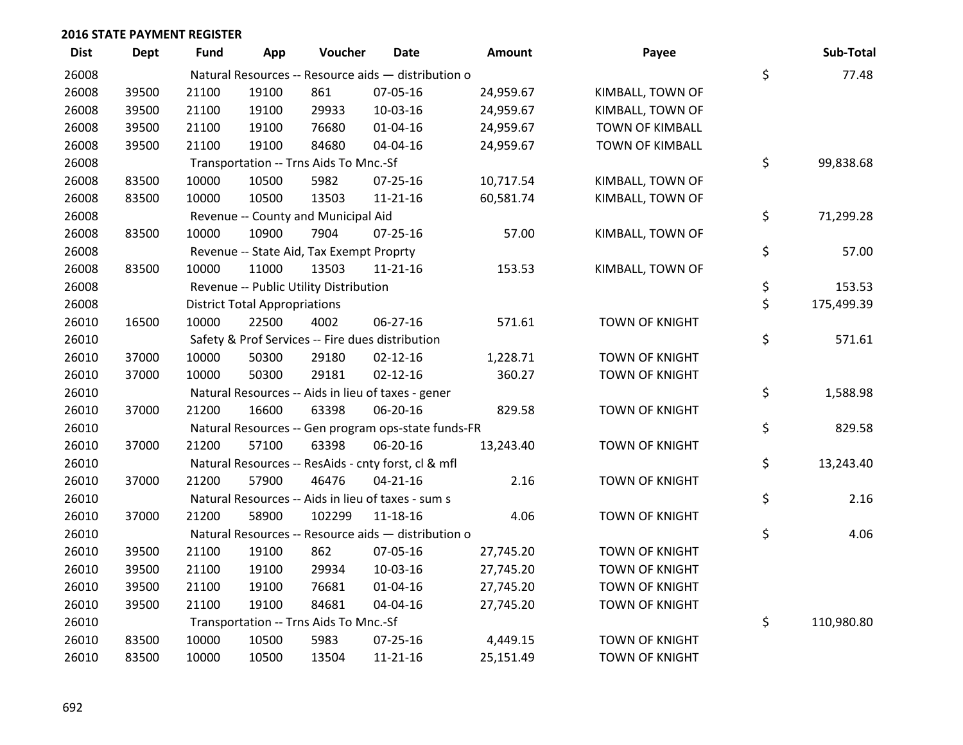| <b>Dist</b> | Dept  | <b>Fund</b> | App                                  | Voucher                                  | <b>Date</b>                                         | <b>Amount</b> | Payee                  | Sub-Total        |
|-------------|-------|-------------|--------------------------------------|------------------------------------------|-----------------------------------------------------|---------------|------------------------|------------------|
| 26008       |       |             |                                      |                                          | Natural Resources -- Resource aids - distribution o |               |                        | \$<br>77.48      |
| 26008       | 39500 | 21100       | 19100                                | 861                                      | 07-05-16                                            | 24,959.67     | KIMBALL, TOWN OF       |                  |
| 26008       | 39500 | 21100       | 19100                                | 29933                                    | 10-03-16                                            | 24,959.67     | KIMBALL, TOWN OF       |                  |
| 26008       | 39500 | 21100       | 19100                                | 76680                                    | $01 - 04 - 16$                                      | 24,959.67     | <b>TOWN OF KIMBALL</b> |                  |
| 26008       | 39500 | 21100       | 19100                                | 84680                                    | 04-04-16                                            | 24,959.67     | <b>TOWN OF KIMBALL</b> |                  |
| 26008       |       |             |                                      | Transportation -- Trns Aids To Mnc.-Sf   |                                                     |               |                        | \$<br>99,838.68  |
| 26008       | 83500 | 10000       | 10500                                | 5982                                     | $07 - 25 - 16$                                      | 10,717.54     | KIMBALL, TOWN OF       |                  |
| 26008       | 83500 | 10000       | 10500                                | 13503                                    | $11 - 21 - 16$                                      | 60,581.74     | KIMBALL, TOWN OF       |                  |
| 26008       |       |             |                                      | Revenue -- County and Municipal Aid      |                                                     |               |                        | \$<br>71,299.28  |
| 26008       | 83500 | 10000       | 10900                                | 7904                                     | $07 - 25 - 16$                                      | 57.00         | KIMBALL, TOWN OF       |                  |
| 26008       |       |             |                                      | Revenue -- State Aid, Tax Exempt Proprty |                                                     |               |                        | \$<br>57.00      |
| 26008       | 83500 | 10000       | 11000                                | 13503                                    | $11 - 21 - 16$                                      | 153.53        | KIMBALL, TOWN OF       |                  |
| 26008       |       |             |                                      | Revenue -- Public Utility Distribution   |                                                     |               |                        | \$<br>153.53     |
| 26008       |       |             | <b>District Total Appropriations</b> |                                          |                                                     |               |                        | \$<br>175,499.39 |
| 26010       | 16500 | 10000       | 22500                                | 4002                                     | 06-27-16                                            | 571.61        | <b>TOWN OF KNIGHT</b>  |                  |
| 26010       |       |             |                                      |                                          | Safety & Prof Services -- Fire dues distribution    |               |                        | \$<br>571.61     |
| 26010       | 37000 | 10000       | 50300                                | 29180                                    | $02 - 12 - 16$                                      | 1,228.71      | <b>TOWN OF KNIGHT</b>  |                  |
| 26010       | 37000 | 10000       | 50300                                | 29181                                    | $02 - 12 - 16$                                      | 360.27        | <b>TOWN OF KNIGHT</b>  |                  |
| 26010       |       |             |                                      |                                          | Natural Resources -- Aids in lieu of taxes - gener  |               |                        | \$<br>1,588.98   |
| 26010       | 37000 | 21200       | 16600                                | 63398                                    | 06-20-16                                            | 829.58        | TOWN OF KNIGHT         |                  |
| 26010       |       |             |                                      |                                          | Natural Resources -- Gen program ops-state funds-FR |               |                        | \$<br>829.58     |
| 26010       | 37000 | 21200       | 57100                                | 63398                                    | 06-20-16                                            | 13,243.40     | TOWN OF KNIGHT         |                  |
| 26010       |       |             |                                      |                                          | Natural Resources -- ResAids - cnty forst, cl & mfl |               |                        | \$<br>13,243.40  |
| 26010       | 37000 | 21200       | 57900                                | 46476                                    | $04 - 21 - 16$                                      | 2.16          | TOWN OF KNIGHT         |                  |
| 26010       |       |             |                                      |                                          | Natural Resources -- Aids in lieu of taxes - sum s  |               |                        | \$<br>2.16       |
| 26010       | 37000 | 21200       | 58900                                | 102299                                   | 11-18-16                                            | 4.06          | <b>TOWN OF KNIGHT</b>  |                  |
| 26010       |       |             |                                      |                                          | Natural Resources -- Resource aids - distribution o |               |                        | \$<br>4.06       |
| 26010       | 39500 | 21100       | 19100                                | 862                                      | 07-05-16                                            | 27,745.20     | <b>TOWN OF KNIGHT</b>  |                  |
| 26010       | 39500 | 21100       | 19100                                | 29934                                    | 10-03-16                                            | 27,745.20     | TOWN OF KNIGHT         |                  |
| 26010       | 39500 | 21100       | 19100                                | 76681                                    | $01 - 04 - 16$                                      | 27,745.20     | TOWN OF KNIGHT         |                  |
| 26010       | 39500 | 21100       | 19100                                | 84681                                    | 04-04-16                                            | 27,745.20     | <b>TOWN OF KNIGHT</b>  |                  |
| 26010       |       |             |                                      | Transportation -- Trns Aids To Mnc.-Sf   |                                                     |               |                        | \$<br>110,980.80 |
| 26010       | 83500 | 10000       | 10500                                | 5983                                     | 07-25-16                                            | 4,449.15      | <b>TOWN OF KNIGHT</b>  |                  |
| 26010       | 83500 | 10000       | 10500                                | 13504                                    | $11 - 21 - 16$                                      | 25,151.49     | <b>TOWN OF KNIGHT</b>  |                  |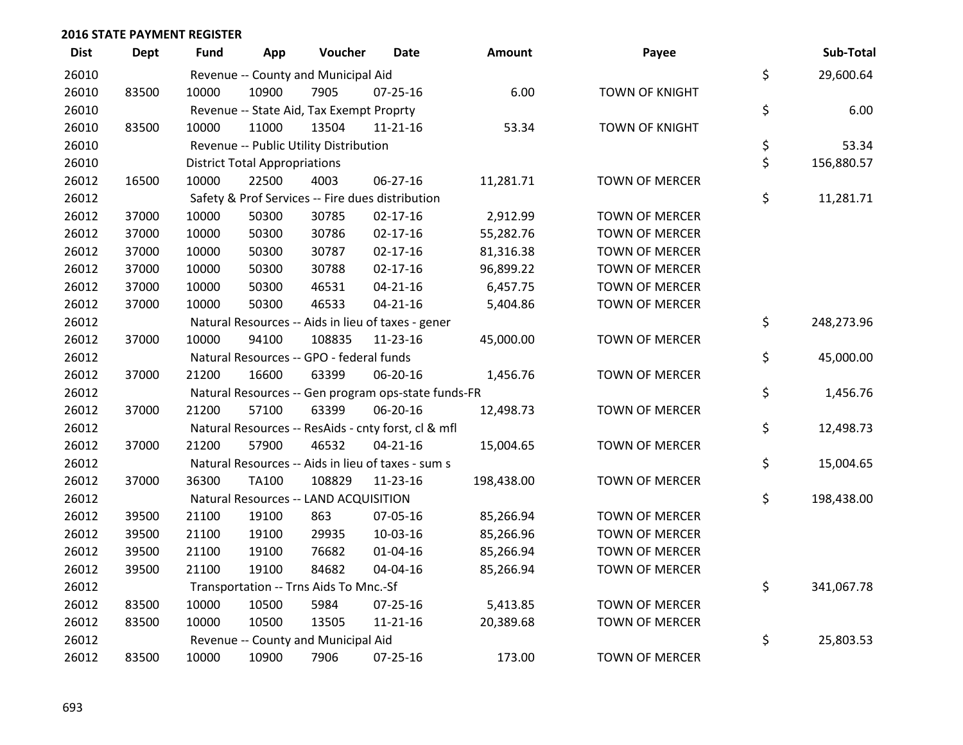| <b>Dist</b> | <b>Dept</b> | <b>Fund</b> | App                                  | Voucher                                             | <b>Date</b>    | Amount     | Payee                 | Sub-Total        |
|-------------|-------------|-------------|--------------------------------------|-----------------------------------------------------|----------------|------------|-----------------------|------------------|
| 26010       |             |             |                                      | Revenue -- County and Municipal Aid                 |                |            |                       | \$<br>29,600.64  |
| 26010       | 83500       | 10000       | 10900                                | 7905                                                | $07 - 25 - 16$ | 6.00       | <b>TOWN OF KNIGHT</b> |                  |
| 26010       |             |             |                                      | Revenue -- State Aid, Tax Exempt Proprty            |                |            |                       | \$<br>6.00       |
| 26010       | 83500       | 10000       | 11000                                | 13504                                               | $11 - 21 - 16$ | 53.34      | <b>TOWN OF KNIGHT</b> |                  |
| 26010       |             |             |                                      | Revenue -- Public Utility Distribution              |                |            |                       | \$<br>53.34      |
| 26010       |             |             | <b>District Total Appropriations</b> |                                                     |                |            |                       | \$<br>156,880.57 |
| 26012       | 16500       | 10000       | 22500                                | 4003                                                | 06-27-16       | 11,281.71  | <b>TOWN OF MERCER</b> |                  |
| 26012       |             |             |                                      | Safety & Prof Services -- Fire dues distribution    |                |            |                       | \$<br>11,281.71  |
| 26012       | 37000       | 10000       | 50300                                | 30785                                               | $02 - 17 - 16$ | 2,912.99   | <b>TOWN OF MERCER</b> |                  |
| 26012       | 37000       | 10000       | 50300                                | 30786                                               | $02 - 17 - 16$ | 55,282.76  | <b>TOWN OF MERCER</b> |                  |
| 26012       | 37000       | 10000       | 50300                                | 30787                                               | $02 - 17 - 16$ | 81,316.38  | <b>TOWN OF MERCER</b> |                  |
| 26012       | 37000       | 10000       | 50300                                | 30788                                               | $02 - 17 - 16$ | 96,899.22  | <b>TOWN OF MERCER</b> |                  |
| 26012       | 37000       | 10000       | 50300                                | 46531                                               | $04 - 21 - 16$ | 6,457.75   | <b>TOWN OF MERCER</b> |                  |
| 26012       | 37000       | 10000       | 50300                                | 46533                                               | $04 - 21 - 16$ | 5,404.86   | <b>TOWN OF MERCER</b> |                  |
| 26012       |             |             |                                      | Natural Resources -- Aids in lieu of taxes - gener  |                |            |                       | \$<br>248,273.96 |
| 26012       | 37000       | 10000       | 94100                                | 108835                                              | 11-23-16       | 45,000.00  | <b>TOWN OF MERCER</b> |                  |
| 26012       |             |             |                                      | Natural Resources -- GPO - federal funds            |                |            |                       | \$<br>45,000.00  |
| 26012       | 37000       | 21200       | 16600                                | 63399                                               | 06-20-16       | 1,456.76   | <b>TOWN OF MERCER</b> |                  |
| 26012       |             |             |                                      | Natural Resources -- Gen program ops-state funds-FR |                |            |                       | \$<br>1,456.76   |
| 26012       | 37000       | 21200       | 57100                                | 63399                                               | 06-20-16       | 12,498.73  | <b>TOWN OF MERCER</b> |                  |
| 26012       |             |             |                                      | Natural Resources -- ResAids - cnty forst, cl & mfl |                |            |                       | \$<br>12,498.73  |
| 26012       | 37000       | 21200       | 57900                                | 46532                                               | $04 - 21 - 16$ | 15,004.65  | <b>TOWN OF MERCER</b> |                  |
| 26012       |             |             |                                      | Natural Resources -- Aids in lieu of taxes - sum s  |                |            |                       | \$<br>15,004.65  |
| 26012       | 37000       | 36300       | <b>TA100</b>                         | 108829                                              | $11 - 23 - 16$ | 198,438.00 | <b>TOWN OF MERCER</b> |                  |
| 26012       |             |             |                                      | Natural Resources -- LAND ACQUISITION               |                |            |                       | \$<br>198,438.00 |
| 26012       | 39500       | 21100       | 19100                                | 863                                                 | 07-05-16       | 85,266.94  | <b>TOWN OF MERCER</b> |                  |
| 26012       | 39500       | 21100       | 19100                                | 29935                                               | 10-03-16       | 85,266.96  | <b>TOWN OF MERCER</b> |                  |
| 26012       | 39500       | 21100       | 19100                                | 76682                                               | $01 - 04 - 16$ | 85,266.94  | <b>TOWN OF MERCER</b> |                  |
| 26012       | 39500       | 21100       | 19100                                | 84682                                               | 04-04-16       | 85,266.94  | <b>TOWN OF MERCER</b> |                  |
| 26012       |             |             |                                      | Transportation -- Trns Aids To Mnc.-Sf              |                |            |                       | \$<br>341,067.78 |
| 26012       | 83500       | 10000       | 10500                                | 5984                                                | $07 - 25 - 16$ | 5,413.85   | <b>TOWN OF MERCER</b> |                  |
| 26012       | 83500       | 10000       | 10500                                | 13505                                               | $11 - 21 - 16$ | 20,389.68  | <b>TOWN OF MERCER</b> |                  |
| 26012       |             |             |                                      | Revenue -- County and Municipal Aid                 |                |            |                       | \$<br>25,803.53  |
| 26012       | 83500       | 10000       | 10900                                | 7906                                                | 07-25-16       | 173.00     | <b>TOWN OF MERCER</b> |                  |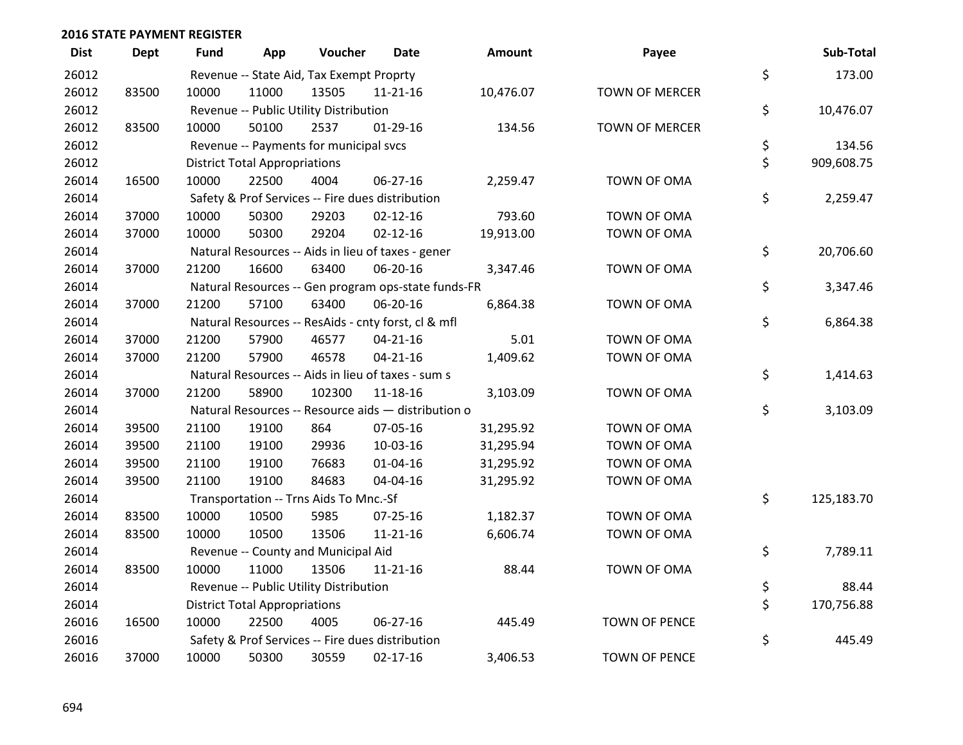| <b>Dist</b> | <b>Dept</b> | <b>Fund</b> | App                                  | Voucher                                             | Date           | <b>Amount</b> | Payee                 | Sub-Total        |
|-------------|-------------|-------------|--------------------------------------|-----------------------------------------------------|----------------|---------------|-----------------------|------------------|
| 26012       |             |             |                                      | Revenue -- State Aid, Tax Exempt Proprty            |                |               |                       | \$<br>173.00     |
| 26012       | 83500       | 10000       | 11000                                | 13505                                               | $11 - 21 - 16$ | 10,476.07     | <b>TOWN OF MERCER</b> |                  |
| 26012       |             |             |                                      | Revenue -- Public Utility Distribution              |                |               |                       | \$<br>10,476.07  |
| 26012       | 83500       | 10000       | 50100                                | 2537                                                | $01-29-16$     | 134.56        | <b>TOWN OF MERCER</b> |                  |
| 26012       |             |             |                                      | Revenue -- Payments for municipal svcs              |                |               |                       | \$<br>134.56     |
| 26012       |             |             | <b>District Total Appropriations</b> |                                                     |                |               |                       | \$<br>909,608.75 |
| 26014       | 16500       | 10000       | 22500                                | 4004                                                | 06-27-16       | 2,259.47      | TOWN OF OMA           |                  |
| 26014       |             |             |                                      | Safety & Prof Services -- Fire dues distribution    |                |               |                       | \$<br>2,259.47   |
| 26014       | 37000       | 10000       | 50300                                | 29203                                               | $02 - 12 - 16$ | 793.60        | TOWN OF OMA           |                  |
| 26014       | 37000       | 10000       | 50300                                | 29204                                               | $02 - 12 - 16$ | 19,913.00     | TOWN OF OMA           |                  |
| 26014       |             |             |                                      | Natural Resources -- Aids in lieu of taxes - gener  |                |               |                       | \$<br>20,706.60  |
| 26014       | 37000       | 21200       | 16600                                | 63400                                               | 06-20-16       | 3,347.46      | TOWN OF OMA           |                  |
| 26014       |             |             |                                      | Natural Resources -- Gen program ops-state funds-FR |                |               |                       | \$<br>3,347.46   |
| 26014       | 37000       | 21200       | 57100                                | 63400                                               | 06-20-16       | 6,864.38      | TOWN OF OMA           |                  |
| 26014       |             |             |                                      | Natural Resources -- ResAids - cnty forst, cl & mfl |                |               |                       | \$<br>6,864.38   |
| 26014       | 37000       | 21200       | 57900                                | 46577                                               | $04 - 21 - 16$ | 5.01          | TOWN OF OMA           |                  |
| 26014       | 37000       | 21200       | 57900                                | 46578                                               | $04 - 21 - 16$ | 1,409.62      | TOWN OF OMA           |                  |
| 26014       |             |             |                                      | Natural Resources -- Aids in lieu of taxes - sum s  |                |               |                       | \$<br>1,414.63   |
| 26014       | 37000       | 21200       | 58900                                | 102300                                              | 11-18-16       | 3,103.09      | TOWN OF OMA           |                  |
| 26014       |             |             |                                      | Natural Resources -- Resource aids - distribution o |                |               |                       | \$<br>3,103.09   |
| 26014       | 39500       | 21100       | 19100                                | 864                                                 | 07-05-16       | 31,295.92     | TOWN OF OMA           |                  |
| 26014       | 39500       | 21100       | 19100                                | 29936                                               | 10-03-16       | 31,295.94     | TOWN OF OMA           |                  |
| 26014       | 39500       | 21100       | 19100                                | 76683                                               | $01 - 04 - 16$ | 31,295.92     | TOWN OF OMA           |                  |
| 26014       | 39500       | 21100       | 19100                                | 84683                                               | 04-04-16       | 31,295.92     | TOWN OF OMA           |                  |
| 26014       |             |             |                                      | Transportation -- Trns Aids To Mnc.-Sf              |                |               |                       | \$<br>125,183.70 |
| 26014       | 83500       | 10000       | 10500                                | 5985                                                | $07 - 25 - 16$ | 1,182.37      | TOWN OF OMA           |                  |
| 26014       | 83500       | 10000       | 10500                                | 13506                                               | 11-21-16       | 6,606.74      | TOWN OF OMA           |                  |
| 26014       |             |             |                                      | Revenue -- County and Municipal Aid                 |                |               |                       | \$<br>7,789.11   |
| 26014       | 83500       | 10000       | 11000                                | 13506                                               | 11-21-16       | 88.44         | TOWN OF OMA           |                  |
| 26014       |             |             |                                      | Revenue -- Public Utility Distribution              |                |               |                       | \$<br>88.44      |
| 26014       |             |             | <b>District Total Appropriations</b> |                                                     |                |               |                       | \$<br>170,756.88 |
| 26016       | 16500       | 10000       | 22500                                | 4005                                                | 06-27-16       | 445.49        | <b>TOWN OF PENCE</b>  |                  |
| 26016       |             |             |                                      | Safety & Prof Services -- Fire dues distribution    |                |               |                       | \$<br>445.49     |
| 26016       | 37000       | 10000       | 50300                                | 30559                                               | $02 - 17 - 16$ | 3,406.53      | <b>TOWN OF PENCE</b>  |                  |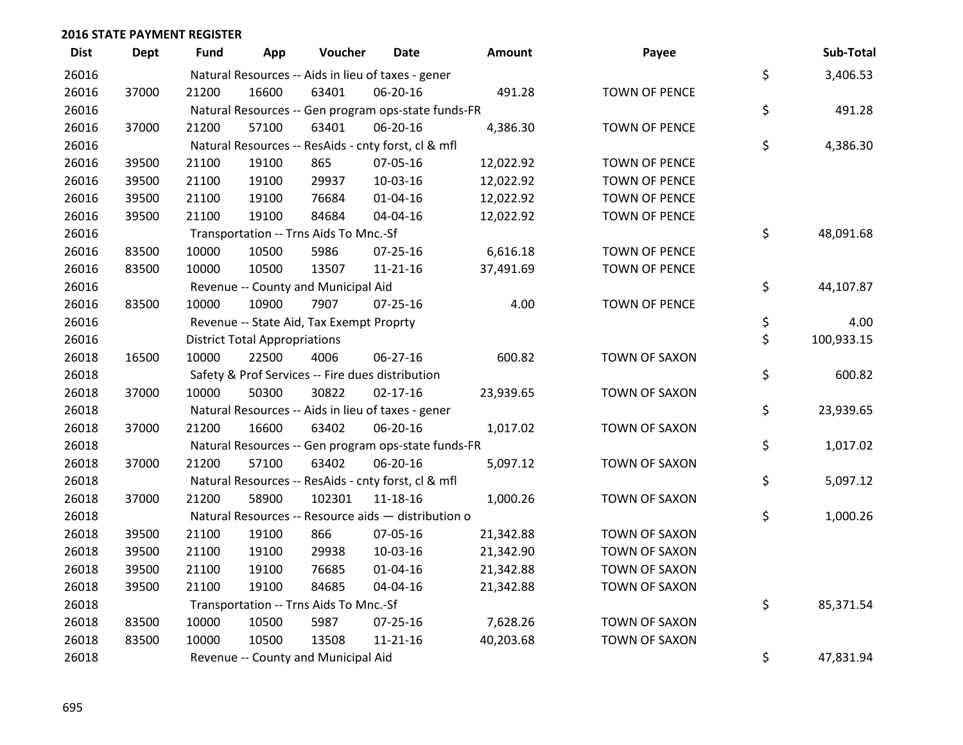| <b>Dist</b> | <b>Dept</b> | <b>Fund</b> | App                                  | Voucher                                  | <b>Date</b>                                         | Amount    | Payee                | Sub-Total        |
|-------------|-------------|-------------|--------------------------------------|------------------------------------------|-----------------------------------------------------|-----------|----------------------|------------------|
| 26016       |             |             |                                      |                                          | Natural Resources -- Aids in lieu of taxes - gener  |           |                      | \$<br>3,406.53   |
| 26016       | 37000       | 21200       | 16600                                | 63401                                    | 06-20-16                                            | 491.28    | <b>TOWN OF PENCE</b> |                  |
| 26016       |             |             |                                      |                                          | Natural Resources -- Gen program ops-state funds-FR |           |                      | \$<br>491.28     |
| 26016       | 37000       | 21200       | 57100                                | 63401                                    | 06-20-16                                            | 4,386.30  | <b>TOWN OF PENCE</b> |                  |
| 26016       |             |             |                                      |                                          | Natural Resources -- ResAids - cnty forst, cl & mfl |           |                      | \$<br>4,386.30   |
| 26016       | 39500       | 21100       | 19100                                | 865                                      | 07-05-16                                            | 12,022.92 | <b>TOWN OF PENCE</b> |                  |
| 26016       | 39500       | 21100       | 19100                                | 29937                                    | 10-03-16                                            | 12,022.92 | <b>TOWN OF PENCE</b> |                  |
| 26016       | 39500       | 21100       | 19100                                | 76684                                    | $01 - 04 - 16$                                      | 12,022.92 | <b>TOWN OF PENCE</b> |                  |
| 26016       | 39500       | 21100       | 19100                                | 84684                                    | 04-04-16                                            | 12,022.92 | <b>TOWN OF PENCE</b> |                  |
| 26016       |             |             |                                      | Transportation -- Trns Aids To Mnc.-Sf   |                                                     |           |                      | \$<br>48,091.68  |
| 26016       | 83500       | 10000       | 10500                                | 5986                                     | $07 - 25 - 16$                                      | 6,616.18  | <b>TOWN OF PENCE</b> |                  |
| 26016       | 83500       | 10000       | 10500                                | 13507                                    | $11 - 21 - 16$                                      | 37,491.69 | <b>TOWN OF PENCE</b> |                  |
| 26016       |             |             |                                      | Revenue -- County and Municipal Aid      |                                                     |           |                      | \$<br>44,107.87  |
| 26016       | 83500       | 10000       | 10900                                | 7907                                     | $07 - 25 - 16$                                      | 4.00      | <b>TOWN OF PENCE</b> |                  |
| 26016       |             |             |                                      | Revenue -- State Aid, Tax Exempt Proprty |                                                     |           |                      | \$<br>4.00       |
| 26016       |             |             | <b>District Total Appropriations</b> |                                          |                                                     |           |                      | \$<br>100,933.15 |
| 26018       | 16500       | 10000       | 22500                                | 4006                                     | 06-27-16                                            | 600.82    | TOWN OF SAXON        |                  |
| 26018       |             |             |                                      |                                          | Safety & Prof Services -- Fire dues distribution    |           |                      | \$<br>600.82     |
| 26018       | 37000       | 10000       | 50300                                | 30822                                    | $02 - 17 - 16$                                      | 23,939.65 | TOWN OF SAXON        |                  |
| 26018       |             |             |                                      |                                          | Natural Resources -- Aids in lieu of taxes - gener  |           |                      | \$<br>23,939.65  |
| 26018       | 37000       | 21200       | 16600                                | 63402                                    | 06-20-16                                            | 1,017.02  | TOWN OF SAXON        |                  |
| 26018       |             |             |                                      |                                          | Natural Resources -- Gen program ops-state funds-FR |           |                      | \$<br>1,017.02   |
| 26018       | 37000       | 21200       | 57100                                | 63402                                    | 06-20-16                                            | 5,097.12  | TOWN OF SAXON        |                  |
| 26018       |             |             |                                      |                                          | Natural Resources -- ResAids - cnty forst, cl & mfl |           |                      | \$<br>5,097.12   |
| 26018       | 37000       | 21200       | 58900                                | 102301                                   | 11-18-16                                            | 1,000.26  | TOWN OF SAXON        |                  |
| 26018       |             |             |                                      |                                          | Natural Resources -- Resource aids - distribution o |           |                      | \$<br>1,000.26   |
| 26018       | 39500       | 21100       | 19100                                | 866                                      | 07-05-16                                            | 21,342.88 | TOWN OF SAXON        |                  |
| 26018       | 39500       | 21100       | 19100                                | 29938                                    | 10-03-16                                            | 21,342.90 | TOWN OF SAXON        |                  |
| 26018       | 39500       | 21100       | 19100                                | 76685                                    | $01 - 04 - 16$                                      | 21,342.88 | TOWN OF SAXON        |                  |
| 26018       | 39500       | 21100       | 19100                                | 84685                                    | 04-04-16                                            | 21,342.88 | TOWN OF SAXON        |                  |
| 26018       |             |             |                                      | Transportation -- Trns Aids To Mnc.-Sf   |                                                     |           |                      | \$<br>85,371.54  |
| 26018       | 83500       | 10000       | 10500                                | 5987                                     | $07 - 25 - 16$                                      | 7,628.26  | TOWN OF SAXON        |                  |
| 26018       | 83500       | 10000       | 10500                                | 13508                                    | $11 - 21 - 16$                                      | 40,203.68 | <b>TOWN OF SAXON</b> |                  |
| 26018       |             |             |                                      | Revenue -- County and Municipal Aid      |                                                     |           |                      | \$<br>47,831.94  |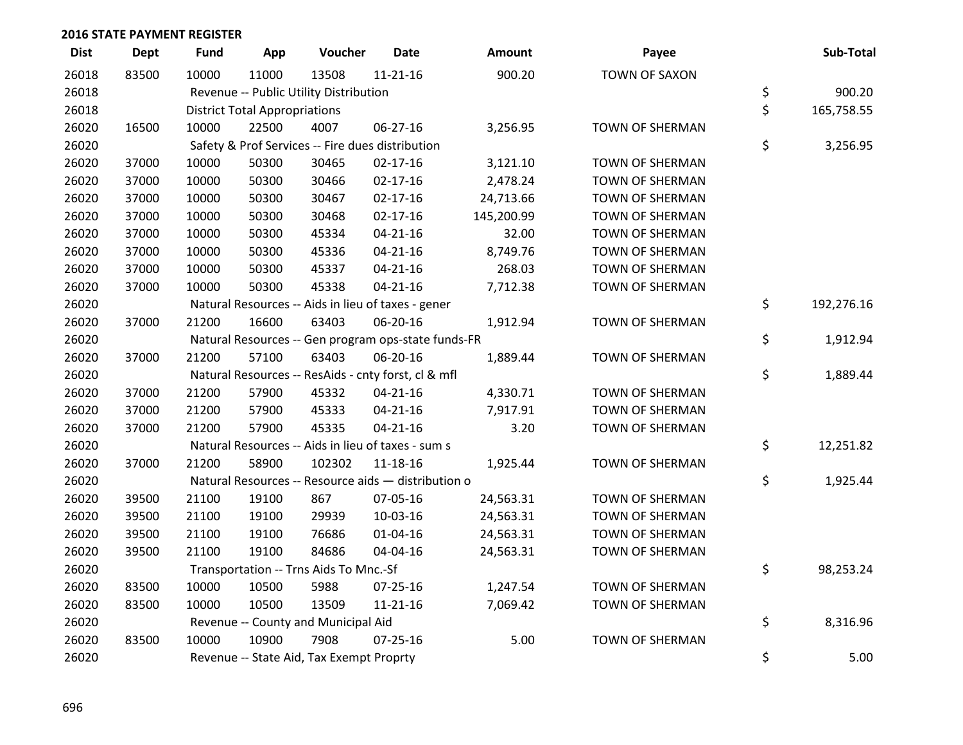| <b>Dist</b> | <b>Dept</b> | <b>Fund</b> | App                                  | Voucher                                             | Date           | Amount     | Payee                  | Sub-Total        |
|-------------|-------------|-------------|--------------------------------------|-----------------------------------------------------|----------------|------------|------------------------|------------------|
| 26018       | 83500       | 10000       | 11000                                | 13508                                               | $11 - 21 - 16$ | 900.20     | <b>TOWN OF SAXON</b>   |                  |
| 26018       |             |             |                                      | Revenue -- Public Utility Distribution              |                |            |                        | \$<br>900.20     |
| 26018       |             |             | <b>District Total Appropriations</b> |                                                     |                |            |                        | \$<br>165,758.55 |
| 26020       | 16500       | 10000       | 22500                                | 4007                                                | 06-27-16       | 3,256.95   | <b>TOWN OF SHERMAN</b> |                  |
| 26020       |             |             |                                      | Safety & Prof Services -- Fire dues distribution    |                |            |                        | \$<br>3,256.95   |
| 26020       | 37000       | 10000       | 50300                                | 30465                                               | $02 - 17 - 16$ | 3,121.10   | TOWN OF SHERMAN        |                  |
| 26020       | 37000       | 10000       | 50300                                | 30466                                               | $02 - 17 - 16$ | 2,478.24   | TOWN OF SHERMAN        |                  |
| 26020       | 37000       | 10000       | 50300                                | 30467                                               | $02 - 17 - 16$ | 24,713.66  | <b>TOWN OF SHERMAN</b> |                  |
| 26020       | 37000       | 10000       | 50300                                | 30468                                               | $02 - 17 - 16$ | 145,200.99 | TOWN OF SHERMAN        |                  |
| 26020       | 37000       | 10000       | 50300                                | 45334                                               | $04 - 21 - 16$ | 32.00      | <b>TOWN OF SHERMAN</b> |                  |
| 26020       | 37000       | 10000       | 50300                                | 45336                                               | $04 - 21 - 16$ | 8,749.76   | TOWN OF SHERMAN        |                  |
| 26020       | 37000       | 10000       | 50300                                | 45337                                               | $04 - 21 - 16$ | 268.03     | TOWN OF SHERMAN        |                  |
| 26020       | 37000       | 10000       | 50300                                | 45338                                               | $04 - 21 - 16$ | 7,712.38   | TOWN OF SHERMAN        |                  |
| 26020       |             |             |                                      | Natural Resources -- Aids in lieu of taxes - gener  |                |            |                        | \$<br>192,276.16 |
| 26020       | 37000       | 21200       | 16600                                | 63403                                               | 06-20-16       | 1,912.94   | TOWN OF SHERMAN        |                  |
| 26020       |             |             |                                      | Natural Resources -- Gen program ops-state funds-FR |                |            |                        | \$<br>1,912.94   |
| 26020       | 37000       | 21200       | 57100                                | 63403                                               | 06-20-16       | 1,889.44   | <b>TOWN OF SHERMAN</b> |                  |
| 26020       |             |             |                                      | Natural Resources -- ResAids - cnty forst, cl & mfl |                |            |                        | \$<br>1,889.44   |
| 26020       | 37000       | 21200       | 57900                                | 45332                                               | $04 - 21 - 16$ | 4,330.71   | <b>TOWN OF SHERMAN</b> |                  |
| 26020       | 37000       | 21200       | 57900                                | 45333                                               | $04 - 21 - 16$ | 7,917.91   | TOWN OF SHERMAN        |                  |
| 26020       | 37000       | 21200       | 57900                                | 45335                                               | $04 - 21 - 16$ | 3.20       | TOWN OF SHERMAN        |                  |
| 26020       |             |             |                                      | Natural Resources -- Aids in lieu of taxes - sum s  |                |            |                        | \$<br>12,251.82  |
| 26020       | 37000       | 21200       | 58900                                | 102302                                              | 11-18-16       | 1,925.44   | <b>TOWN OF SHERMAN</b> |                  |
| 26020       |             |             |                                      | Natural Resources -- Resource aids - distribution o |                |            |                        | \$<br>1,925.44   |
| 26020       | 39500       | 21100       | 19100                                | 867                                                 | 07-05-16       | 24,563.31  | TOWN OF SHERMAN        |                  |
| 26020       | 39500       | 21100       | 19100                                | 29939                                               | 10-03-16       | 24,563.31  | <b>TOWN OF SHERMAN</b> |                  |
| 26020       | 39500       | 21100       | 19100                                | 76686                                               | 01-04-16       | 24,563.31  | TOWN OF SHERMAN        |                  |
| 26020       | 39500       | 21100       | 19100                                | 84686                                               | 04-04-16       | 24,563.31  | TOWN OF SHERMAN        |                  |
| 26020       |             |             |                                      | Transportation -- Trns Aids To Mnc.-Sf              |                |            |                        | \$<br>98,253.24  |
| 26020       | 83500       | 10000       | 10500                                | 5988                                                | 07-25-16       | 1,247.54   | <b>TOWN OF SHERMAN</b> |                  |
| 26020       | 83500       | 10000       | 10500                                | 13509                                               | $11 - 21 - 16$ | 7,069.42   | TOWN OF SHERMAN        |                  |
| 26020       |             |             |                                      | Revenue -- County and Municipal Aid                 |                |            |                        | \$<br>8,316.96   |
| 26020       | 83500       | 10000       | 10900                                | 7908                                                | $07 - 25 - 16$ | 5.00       | <b>TOWN OF SHERMAN</b> |                  |
| 26020       |             |             |                                      | Revenue -- State Aid, Tax Exempt Proprty            |                |            |                        | \$<br>5.00       |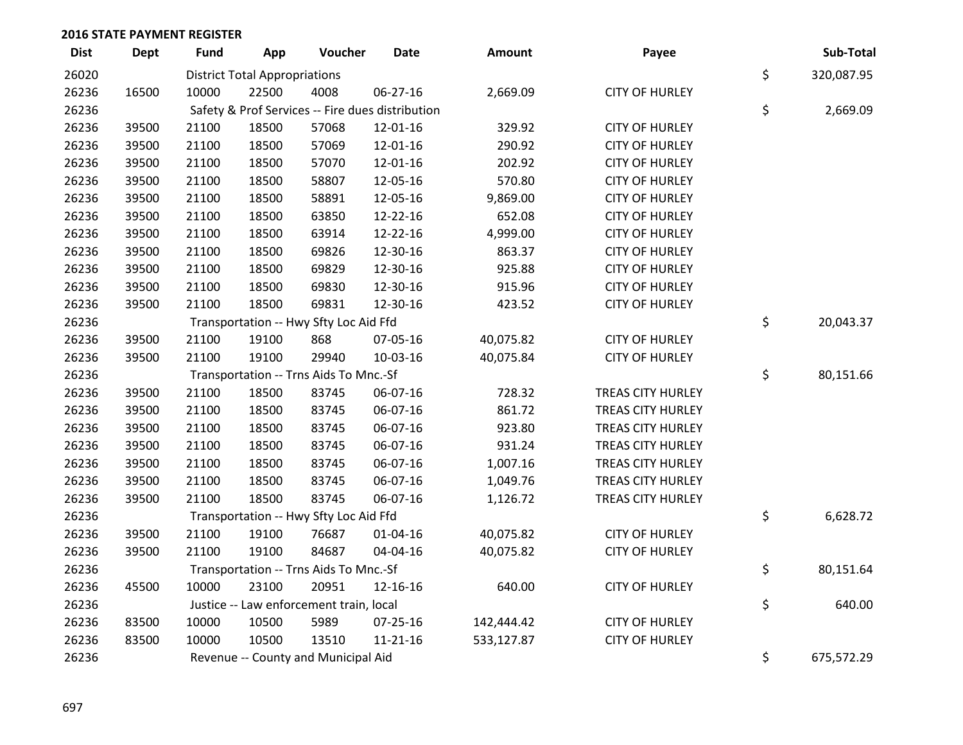| <b>Dist</b> | <b>Dept</b> | <b>Fund</b>                                      | App   | Voucher                                | <b>Date</b>    | <b>Amount</b> | Payee                 |    | Sub-Total  |
|-------------|-------------|--------------------------------------------------|-------|----------------------------------------|----------------|---------------|-----------------------|----|------------|
| 26020       |             | <b>District Total Appropriations</b>             | \$    | 320,087.95                             |                |               |                       |    |            |
| 26236       | 16500       | 10000                                            | 22500 | 4008                                   | 06-27-16       | 2,669.09      | <b>CITY OF HURLEY</b> |    |            |
| 26236       |             | Safety & Prof Services -- Fire dues distribution |       |                                        |                |               |                       |    | 2,669.09   |
| 26236       | 39500       | 21100                                            | 18500 | 57068                                  | 12-01-16       | 329.92        | <b>CITY OF HURLEY</b> |    |            |
| 26236       | 39500       | 21100                                            | 18500 | 57069                                  | 12-01-16       | 290.92        | <b>CITY OF HURLEY</b> |    |            |
| 26236       | 39500       | 21100                                            | 18500 | 57070                                  | 12-01-16       | 202.92        | <b>CITY OF HURLEY</b> |    |            |
| 26236       | 39500       | 21100                                            | 18500 | 58807                                  | 12-05-16       | 570.80        | <b>CITY OF HURLEY</b> |    |            |
| 26236       | 39500       | 21100                                            | 18500 | 58891                                  | 12-05-16       | 9,869.00      | <b>CITY OF HURLEY</b> |    |            |
| 26236       | 39500       | 21100                                            | 18500 | 63850                                  | 12-22-16       | 652.08        | <b>CITY OF HURLEY</b> |    |            |
| 26236       | 39500       | 21100                                            | 18500 | 63914                                  | 12-22-16       | 4,999.00      | <b>CITY OF HURLEY</b> |    |            |
| 26236       | 39500       | 21100                                            | 18500 | 69826                                  | 12-30-16       | 863.37        | <b>CITY OF HURLEY</b> |    |            |
| 26236       | 39500       | 21100                                            | 18500 | 69829                                  | 12-30-16       | 925.88        | <b>CITY OF HURLEY</b> |    |            |
| 26236       | 39500       | 21100                                            | 18500 | 69830                                  | 12-30-16       | 915.96        | <b>CITY OF HURLEY</b> |    |            |
| 26236       | 39500       | 21100                                            | 18500 | 69831                                  | 12-30-16       | 423.52        | <b>CITY OF HURLEY</b> |    |            |
| 26236       |             |                                                  |       | Transportation -- Hwy Sfty Loc Aid Ffd |                |               |                       | \$ | 20,043.37  |
| 26236       | 39500       | 21100                                            | 19100 | 868                                    | 07-05-16       | 40,075.82     | <b>CITY OF HURLEY</b> |    |            |
| 26236       | 39500       | 21100                                            | 19100 | 29940                                  | 10-03-16       | 40,075.84     | <b>CITY OF HURLEY</b> |    |            |
| 26236       |             | Transportation -- Trns Aids To Mnc.-Sf           |       |                                        |                |               |                       |    | 80,151.66  |
| 26236       | 39500       | 21100                                            | 18500 | 83745                                  | 06-07-16       | 728.32        | TREAS CITY HURLEY     |    |            |
| 26236       | 39500       | 21100                                            | 18500 | 83745                                  | 06-07-16       | 861.72        | TREAS CITY HURLEY     |    |            |
| 26236       | 39500       | 21100                                            | 18500 | 83745                                  | 06-07-16       | 923.80        | TREAS CITY HURLEY     |    |            |
| 26236       | 39500       | 21100                                            | 18500 | 83745                                  | 06-07-16       | 931.24        | TREAS CITY HURLEY     |    |            |
| 26236       | 39500       | 21100                                            | 18500 | 83745                                  | 06-07-16       | 1,007.16      | TREAS CITY HURLEY     |    |            |
| 26236       | 39500       | 21100                                            | 18500 | 83745                                  | 06-07-16       | 1,049.76      | TREAS CITY HURLEY     |    |            |
| 26236       | 39500       | 21100                                            | 18500 | 83745                                  | 06-07-16       | 1,126.72      | TREAS CITY HURLEY     |    |            |
| 26236       |             |                                                  |       | Transportation -- Hwy Sfty Loc Aid Ffd |                |               |                       | \$ | 6,628.72   |
| 26236       | 39500       | 21100                                            | 19100 | 76687                                  | $01 - 04 - 16$ | 40,075.82     | <b>CITY OF HURLEY</b> |    |            |
| 26236       | 39500       | 21100                                            | 19100 | 84687                                  | 04-04-16       | 40,075.82     | <b>CITY OF HURLEY</b> |    |            |
| 26236       |             |                                                  |       | Transportation -- Trns Aids To Mnc.-Sf |                |               |                       | \$ | 80,151.64  |
| 26236       | 45500       | 10000                                            | 23100 | 20951                                  | 12-16-16       | 640.00        | <b>CITY OF HURLEY</b> |    |            |
| 26236       |             | Justice -- Law enforcement train, local          |       |                                        |                |               |                       |    | 640.00     |
| 26236       | 83500       | 10000                                            | 10500 | 5989                                   | 07-25-16       | 142,444.42    | <b>CITY OF HURLEY</b> |    |            |
| 26236       | 83500       | 10000                                            | 10500 | 13510                                  | $11 - 21 - 16$ | 533,127.87    | <b>CITY OF HURLEY</b> |    |            |
| 26236       |             | Revenue -- County and Municipal Aid              |       |                                        |                |               |                       | \$ | 675,572.29 |